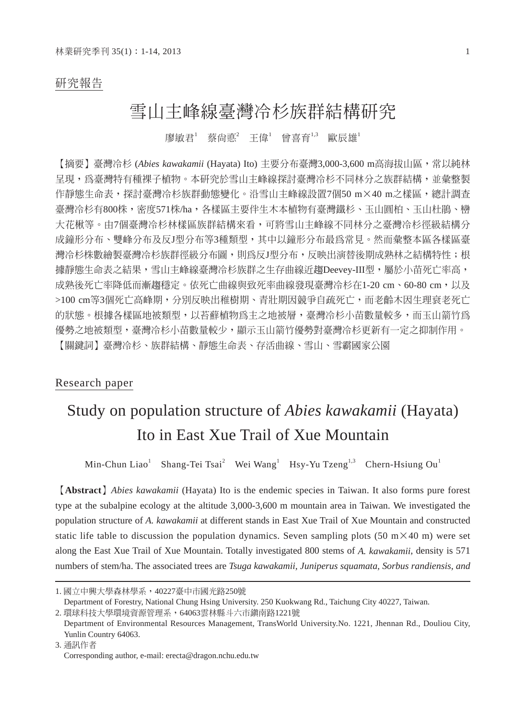### 研究報告

## 雪山主峰線臺灣冷杉族群結構研究

廖敏君' 蔡尙悳'王偉' 曾喜育'<sup>,3</sup> 歐辰雄'

【摘要】臺灣冷杉 (*Abies kawakamii* (Hayata) Ito) 主要分布臺灣3,000-3,600 m高海拔山區,常以純林 早現,為臺灣特有種裸子植物。本研究於雪山主峰線探討臺灣冷杉不同林分之族群結構,並彙整製 作靜態生命表,探討臺灣冷杉族群動態變化。沿雪山主峰線設置7個50 m×40 m之樣區,總計調查 臺灣冷杉有800株,密度571株/ha,各樣區主要伴生木本植物有臺灣鐵杉、玉山圓柏、玉山杜鵑、巒 大花楸等。由7個臺灣冷杉林樣區族群結構來看,可將雪山主峰線不同林分之臺灣冷杉徑級結構分 成鐘形分布、雙峰分布及反J型分布等3種類型,其中以鐘形分布最為常見。然而彙整本區各樣區臺 灣冷杉株數繪製臺灣冷杉族群徑級分布圖,則為反J型分布,反映出演替後期成熟林之結構特性;根 據靜態生命表之結果,雪山主峰線臺灣冷杉族群之生存曲線近趨Deevey-III型,屬於小苗死亡率高, 成熟後死亡率降低而漸趨穩定。依死亡曲線與致死率曲線發現臺灣冷杉在1-20 cm、60-80 cm,以及 >100 cm等3個死亡高峰期,分別反映出稚樹期、青壯期因競爭自疏死亡,而老齡木因生理衰老死亡 的狀態。根據各樣區地被類型,以苔蘚植物為主之地被層,臺灣冷杉小苗數量較多,而玉山箭竹為 優勢之地被類型,臺灣冷杉小苗數量較少,顯示玉山箭竹優勢對臺灣冷杉更新有一定之抑制作用。 【關鍵詞】臺灣冷杉、族群結構、靜態生命表、存活曲線、雪山、雪霸國家公園

### Research paper

# Study on population structure of *Abies kawakamii* (Hayata) Ito in East Xue Trail of Xue Mountain

Min-Chun Liao<sup>1</sup> Shang-Tei Tsai<sup>2</sup> Wei Wang<sup>1</sup> Hsy-Yu Tzeng<sup>1,3</sup> Chern-Hsiung Ou<sup>1</sup>

【**Abstract**】*Abies kawakamii* (Hayata) Ito is the endemic species in Taiwan. It also forms pure forest type at the subalpine ecology at the altitude 3,000-3,600 m mountain area in Taiwan. We investigated the population structure of *A. kawakamii* at different stands in East Xue Trail of Xue Mountain and constructed static life table to discussion the population dynamics. Seven sampling plots (50 m $\times$ 40 m) were set along the East Xue Trail of Xue Mountain. Totally investigated 800 stems of *A. kawakamii*, density is 571 numbers of stem/ha. The associated trees are *Tsuga kawakamii, Juniperus squamata, Sorbus randiensis, and* 

<sup>1.</sup> 國立中興大學森林學系,40227臺中市國光路250號

Department of Forestry, National Chung Hsing University. 250 Kuokwang Rd., Taichung City 40227, Taiwan.

<sup>2.</sup> 環球科技大學環境資源管理系,64063雲林縣斗六市鎮南路1221號

Department of Environmental Resources Management, TransWorld University.No. 1221, Jhennan Rd., Douliou City, Yunlin Country 64063.

<sup>3.</sup> 通訊作者 Corresponding author, e-mail: erecta@dragon.nchu.edu.tw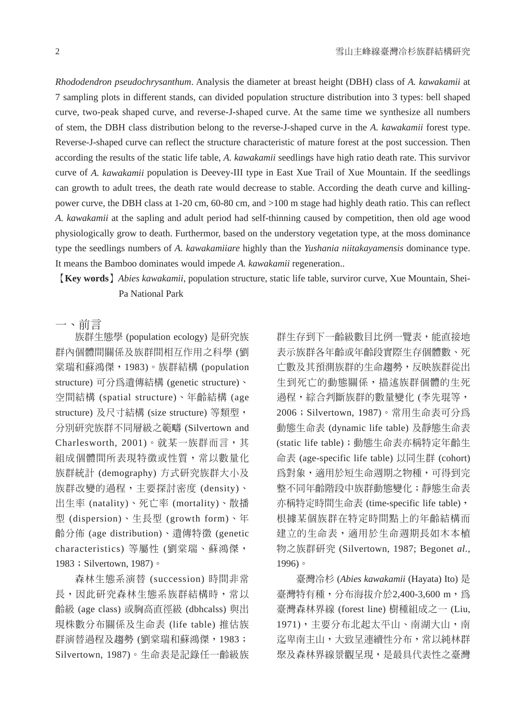*Rhododendron pseudochrysanthum*. Analysis the diameter at breast height (DBH) class of *A. kawakamii* at 7 sampling plots in different stands, can divided population structure distribution into 3 types: bell shaped curve, two-peak shaped curve, and reverse-J-shaped curve. At the same time we synthesize all numbers of stem, the DBH class distribution belong to the reverse-J-shaped curve in the *A. kawakamii* forest type. Reverse-J-shaped curve can reflect the structure characteristic of mature forest at the post succession. Then according the results of the static life table, *A. kawakamii* seedlings have high ratio death rate. This survivor curve of *A. kawakamii* population is Deevey-III type in East Xue Trail of Xue Mountain. If the seedlings can growth to adult trees, the death rate would decrease to stable. According the death curve and killingpower curve, the DBH class at 1-20 cm, 60-80 cm, and >100 m stage had highly death ratio. This can reflect *A. kawakamii* at the sapling and adult period had self-thinning caused by competition, then old age wood physiologically grow to death. Furthermor, based on the understory vegetation type, at the moss dominance type the seedlings numbers of *A. kawakamiiare* highly than the *Yushania niitakayamensis* dominance type. It means the Bamboo dominates would impede *A. kawakamii* regeneration..

【**Key words**】*Abies kawakamii*, population structure, static life table, surviror curve, Xue Mountain, Shei- Pa National Park

一、前言

族群生態學 (population ecology) 是研究族 群內個體間關係及族群間相互作用之科學 (劉 棠瑞和蘇鴻傑,1983)。族群結構 (population structure) 可分為遺傳結構 (genetic structure)、 空間結構 (spatial structure)、年齡結構 (age structure) 及尺寸結構 (size structure) 等類型, 分別研究族群不同層級之範疇 (Silvertown and Charlesworth, 2001)。就某一族群而言,其 組成個體間所表現特徵或性質,常以數量化 族群統計 (demography) 方式研究族群大小及 族群改變的過程,主要探討密度 (density)、 出生率 (natality)、死亡率 (mortality)、散播 型 (dispersion)、生長型 (growth form)、年 齡分佈 (age distribution)、遺傳特徵 (genetic characteristics) 等屬性 (劉棠瑞、蘇鴻傑, 1983; Silvertown, 1987)。

森林生態系演替 (succession) 時間非常 長,因此研究森林生態系族群結構時,常以 齡級 (age class) 或胸高直徑級 (dbhcalss) 與出 現株數分布關係及生命表 (life table) 推估族 群演替過程及趨勢 (劉棠瑞和蘇鴻傑,1983; Silvertown, 1987)。生命表是記錄任一齡級族 群生存到下一齡級數目比例一覽表,能直接地 表示族群各年齡或年齡段實際生存個體數、死 亡數及其預測族群的生命趨勢,反映族群從出 生到死亡的動態關係,描述族群個體的生死 過程,綜合判斷族群的數量變化 (李先琨等, 2006;Silvertown, 1987)。常用生命表可分為 動態生命表 (dynamic life table) 及靜態生命表 (static life table);動態生命表亦稱特定年齡生 命表 (age-specific life table) 以同生群 (cohort) 為對象,適用於短生命週期之物種,可得到完 整不同年齡階段中族群動態變化;靜態生命表 亦稱特定時間生命表 (time-specific life table), 根據某個族群在特定時間點上的年齡結構而 建立的生命表,適用於生命週期長如木本植 物之族群研究 (Silvertown, 1987; Begonet *al*., 1996)。

臺灣冷杉 (*Abies kawakamii* (Hayata) Ito) 是 臺灣特有種,分布海拔介於2,400-3,600 m,為 臺灣森林界線 (forest line) 樹種組成之一 (Liu, 1971),主要分布北起太平山、南湖大山,南 迄卑南主山,大致呈連續性分布,常以純林群 聚及森林界線景觀呈現,是最具代表性之臺灣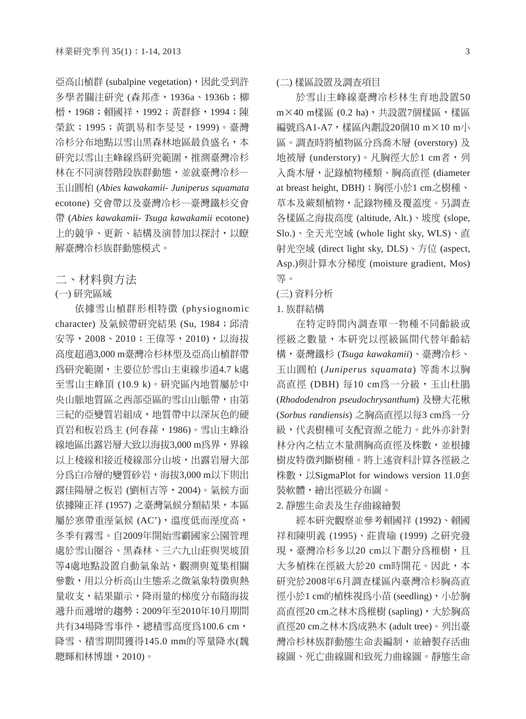亞高山植群 (subalpine vegetation), 因此受到許 多學者關注研究 (森邦彥, 1936a、1936b; 柳 榗,1968;賴國祥,1992;黃群修,1994;陳 榮欽;1995;黃凱易和李旻旻,1999)。臺灣 冷杉分布地點以雪山黑森林地區最負盛名,本 研究以雪山主峰線為研究範圍,推測臺灣冷杉 林在不同演替階段族群動態,並就臺灣冷杉— 玉山圓柏 (*Abies kawakamii- Juniperus squamata*  ecotone) 交會帶以及臺灣冷杉—臺灣鐵杉交會 帶 (*Abies kawakamii- Tsuga kawakamii* ecotone) 上的競爭、更新、結構及演替加以探討,以瞭 解臺灣冷杉族群動態模式。

二、材料與方法

(一) 研究區域

依據雪山植群形相特徵 (physiognomic character) 及氣候帶研究結果 (Su, 1984; 邱清 安等,2008、2010;王偉等,2010),以海拔 高度超過3,000 m臺灣冷杉林型及亞高山植群帶 為研究範圍,主要位於雪山主東線步道4.7 k處 至雪山主峰頂 (10.9 k)。研究區內地質屬於中 央山脈地質區之西部亞區的雪山山脈帶,由第 三紀的亞變質岩組成,地質帶中以深灰色的硬 頁岩和板岩為主 (何春蓀,1986)。雪山主峰沿 線地區出露岩層大致以海拔3,000 m為界, 界線 以上稜線和接近稜線部分山坡,出露岩層大部 分為白冷層的變質砂岩,海拔3,000 m以下則出 露佳陽層之板岩 (劉桓吉等,2004)。氣候方面 依據陳正祥 (1957) 之臺灣氣候分類結果,本區 屬於寒帶重溼氣候 (AC'), 溫度低而溼度高, 冬季有霧雪。自2009年開始雪霸國家公園管理 處於雪山圈谷、黑森林、三六九山莊與哭坡頂 等4處地點設置自動氣象站,觀測與蒐集相關 參數,用以分析高山生態系之微氣象特徵與熱 量收支,結果顯示,降雨量的梯度分布隨海拔 遞升而遞增的趨勢;2009年至2010年10月期間 共有34場降雪事件,總積雪高度為100.6 cm, 降雪、積雪期間獲得145.0 mm的等量降水(魏 聰輝和林博雄,2010)。

(二) 樣區設置及調查項目

於雪山主峰線臺灣冷杉林生育地設置50 m×40 m樣區 (0.2 ha),共設置7個樣區,樣區 編號為A1-A7,樣區內劃設20個10 m×10 m/ 區。調查時將植物區分為喬木層 (overstory) 及 地被層 (understory)。凡胸徑大於1 cm者,列 入喬木層,記錄植物種類、胸高直徑 (diameter at breast height, DBH);胸徑小於1 cm之樹種、 草本及蕨類植物,記錄物種及覆蓋度。另調查 各樣區之海拔高度 (altitude, Alt.)、坡度 (slope, Slo.)、全天光空域 (whole light sky, WLS)、直 射光空域 (direct light sky, DLS)、方位 (aspect, Asp.)與計算水分梯度 (moisture gradient, Mos) 等。

(三) 資料分析

1. 族群結構

在特定時間內調查單一物種不同齡級或 徑級之數量,本研究以徑級區間代替年齡結 構,臺灣鐵杉 (*Tsuga kawakamii*)、臺灣冷杉、 玉山圓柏 (*Juniperus squamata*) 等喬木以胸 高直徑 (DBH) 每10 cm為一分級,玉山杜鵑 (*Rhododendron pseudochrysanthum*) 及巒大花楸 (*Sorbus randiensis*) 之胸高直徑以每3 cm為一分 級,代表樹種可支配資源之能力。此外亦針對 林分內之枯立木量測胸高直徑及株數,並根據 樹皮特徵判斷樹種。將上述資料計算各徑級之 株數,以SigmaPlot for windows version 11.0套 裝軟體,繪出徑級分布圖。

2. 靜態生命表及生存曲線繪製

經本研究觀察並參考賴國祥 (1992)、賴國 祥和陳明義 (1995)、莊貴瑜 (1999) 之研究發 現,臺灣冷杉多以20 cm以下劃分為稚樹,且 大多植株在徑級大於20 cm時開花。因此,本 研究於2008年6月調查樣區內臺灣冷杉胸高直 徑小於1 cm的植株視為小苗 (seedling), 小於胸 高直徑20 cm之林木為稚樹 (sapling),大於胸高 直徑20 cm之林木為成熟木 (adult tree)。列出臺 灣冷杉林族群動態生命表編制,並繪製存活曲 線圖、死亡曲線圖和致死力曲線圖。靜態生命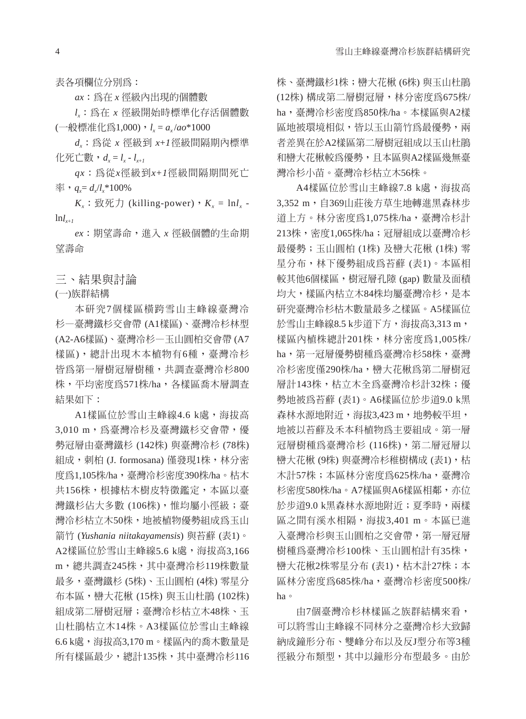表各項欄位分別為:

*ax*:為在 *x* 徑級內出現的個體數

*lx*:為在 *x* 徑級開始時標準化存活個體數 (一般標准化為1,000),*lx* = *ax* /*ao*\*1000

*dx*:為從 *x* 徑級到 *x*+*1*徑級間隔期內標準  $\angle$  化死亡數,  $d_{x} = l_{x} - l_{x+1}$ 

*qx*:為從*x*徑級到*x*+*1*徑級間隔期間死亡  $\overline{\text{D}}$ ,  $q_x = d_x/l_x * 100\%$ 

 $K_x$ : 致死力 (killing-power),  $K_x = \ln l_x$   $ln l_{x+1}$ 

*ex*:期望壽命,進入 *x* 徑級個體的生命期 望壽命

三、結果與討論

(一)族群結構

本研究7個樣區橫跨雪山主峰線臺灣冷 杉—臺灣鐵杉交會帶 (A1樣區)、臺灣冷杉林型 (A2-A6樣區)、臺灣冷杉—玉山圓柏交會帶 (A7 樣區),總計出現木本植物有6種,臺灣冷杉 皆為第一層樹冠層樹種,共調查臺灣冷杉800 株,平均密度為571株/ha,各樣區喬木層調杳 結果如下:

A1樣區位於雪山主峰線4.6 k處,海拔高 3,010 m,為臺灣冷杉及臺灣鐵杉交會帶,優 勢冠層由臺灣鐵杉 (142株) 與臺灣冷杉 (78株) 組成,刺柏 (J. formosana) 僅發現1株,林分密 度為1,105株/ha,臺灣冷杉密度390株/ha。枯木 共156株,根據枯木樹皮特徵鑑定,本區以臺 灣鐵杉佔大多數 (106株),惟均屬小徑級;臺 灣冷杉枯立木50株,地被植物優勢組成為玉山 箭竹 (*Yushania niitakayamensis*) 與苔蘚 (表1)。 A2樣區位於雪山主峰線5.6 k處,海拔高3,166 m,總共調查245株,其中臺灣冷杉119株數量 最多,臺灣鐵杉 (5株)、玉山圓柏 (4株) 零星分 布本區,巒大花楸 (15株) 與玉山杜鵑 (102株) 組成第二層樹冠層;臺灣冷杉枯立木48株、玉 山杜鵑枯立木14株。A3樣區位於雪山主峰線 6.6 k處,海拔高3,170 m。樣區內的喬木數量是 所有樣區最少,總計135株,其中臺灣冷杉116

株、臺灣鐵杉1株;巒大花楸 (6株) 與玉山杜鵑 (12株) 構成第二層樹冠層,林分密度為675株/ ha,臺灣冷杉密度為850株/ha。本樣區與A2樣 區地被環境相似,皆以玉山箭竹為最優勢,兩 者差異在於A2樣區第二層樹冠組成以玉山杜鵑 和巒大花楸較為優勢,且本區與A2樣區幾無臺 灣冷杉小苗。臺灣冷杉枯立木56株。

A4樣區位於雪山主峰線7.8 k處,海拔高 3,352 m,自369山莊後方草生地轉進黑森林步 道上方。林分密度為1.075株/ha,臺灣冷杉計 213株,密度1,065株/ha;冠層組成以臺灣冷杉 最優勢;玉山圓柏 (1株) 及巒大花楸 (1株) 零 星分布,林下優勢組成為苔蘚 (表1)。本區相 較其他6個樣區,樹冠層孔隙 (gap) 數量及面積 均大,樣區內枯立木84株均屬臺灣冷杉,是本 研究臺灣冷杉枯木數量最多之樣區。A5樣區位 於雪山主峰線8.5 k步道下方,海拔高3,313 m, 樣區內植株總計201株,林分密度爲1,005株/ ha,第一冠層優勢樹種為臺灣冷杉58株,臺灣 冷杉密度僅290株/ha,繕大花楸為第二層樹冠 層計143株,枯立木全為臺灣冷杉計32株;優 勢地被為苔蘚 (表1)。A6樣區位於步道9.0 k黑 森林水源地附近,海拔3,423 m,地勢較平坦, 地被以苔蘚及禾本科植物為主要組成。第一層 冠層樹種為臺灣冷杉 (116株),第二層冠層以 巒大花楸 (9株) 與臺灣冷杉稚樹構成 (表1), 枯 木計57株;本區林分密度爲625株/ha,臺灣冷 杉密度580株/ha。A7樣區與A6樣區相鄰,亦位 於步道9.0 k黑森林水源地附近;夏季時,兩樣 區之間有溪水相隔,海拔3,401 m。本區已進 入臺灣冷杉與玉山圓柏之交會帶,第一層冠層 樹種為臺灣冷杉100株、玉山圓柏計有35株, 巒大花楸2株零星分布 (表1),枯木計27株;本 區林分密度為685株/ha,臺灣冷杉密度500株/ ha。

由7個臺灣冷杉林樣區之族群結構來看, 可以將雪山主峰線不同林分之臺灣冷杉大致歸 納成鐘形分布、雙峰分布以及反J型分布等3種 徑級分布類型,其中以鐘形分布型最多。由於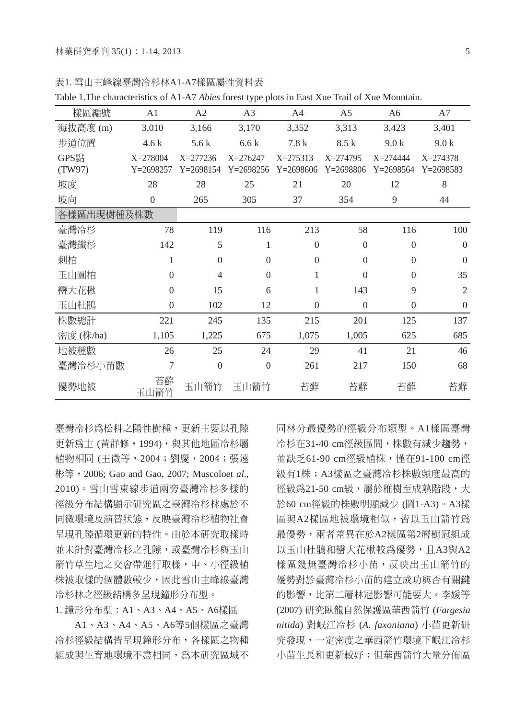| 樣區編號       | A <sub>1</sub>   | A2             | A <sub>3</sub>   | A <sub>4</sub> | A <sub>5</sub> | A <sub>6</sub> | A7             |  |  |  |  |
|------------|------------------|----------------|------------------|----------------|----------------|----------------|----------------|--|--|--|--|
| 海拔高度(m)    | 3,010            | 3,166          | 3,170            | 3,352          | 3,313          | 3,423          | 3,401          |  |  |  |  |
| 步道位置       | 4.6k             | 5.6k           | 6.6k             | 7.8k           | 8.5 k          | 9.0k           | 9.0k           |  |  |  |  |
| GPS點       | X=278004         | $X = 277236$   | $X = 276247$     | $X = 275313$   | $X=274795$     | $X = 274444$   | $X = 274378$   |  |  |  |  |
| (TW97)     | $Y = 2698257$    | $Y = 2698154$  | $Y = 2698256$    | $Y = 2698606$  | $Y = 2698806$  | $Y = 2698564$  | $Y = 2698583$  |  |  |  |  |
| 坡度         | 28               | 28             | 25               | 21             | 20             | 12             | 8              |  |  |  |  |
| 坡向         | $\theta$         | 265            | 305              | 37             | 354            | 9              | 44             |  |  |  |  |
| 各樣區出現樹種及株數 |                  |                |                  |                |                |                |                |  |  |  |  |
| 臺灣冷杉       | 78               | 119            | 116              | 213            | 58             | 116            | 100            |  |  |  |  |
| 臺灣鐵杉       | 142              | 5              | 1                | $\Omega$       | $\theta$       | $\mathbf{0}$   | $\theta$       |  |  |  |  |
| 刺柏         | 1                | $\overline{0}$ | $\boldsymbol{0}$ | $\Omega$       | $\theta$       | $\mathbf{0}$   | $\theta$       |  |  |  |  |
| 玉山圓柏       | $\boldsymbol{0}$ | 4              | $\boldsymbol{0}$ | 1              | $\theta$       | $\overline{0}$ | 35             |  |  |  |  |
| 巒大花楸       | $\theta$         | 15             | 6                | 1              | 143            | 9              | $\mathfrak{2}$ |  |  |  |  |
| 玉山杜鵑       | $\Omega$         | 102            | 12               | $\Omega$       | $\Omega$       | $\theta$       | $\theta$       |  |  |  |  |
| 株數總計       | 221              | 245            | 135              | 215            | 201            | 125            | 137            |  |  |  |  |
| 密度 (株/ha)  | 1,105            | 1,225          | 675              | 1,075          | 1,005          | 625            | 685            |  |  |  |  |
| 地被種數       | 26               | 25             | 24               | 29             | 41             | 21             | 46             |  |  |  |  |
| 臺灣冷杉小苗數    | 7                | $\theta$       | $\boldsymbol{0}$ | 261            | 217            | 150            | 68             |  |  |  |  |
| 優勢地被       | 苔蘚<br>玉山箭竹       | 玉山箭竹           | 玉山箭竹             | 苔蘚             | 苔蘚             | 苔蘚             | 苔蘚             |  |  |  |  |

表1. 雪山主峰線臺灣冷杉林A1-A7樣區屬性資料表

Table 1.The characteristics of A1-A7 *Abies* forest type plots in East Xue Trail of Xue Mountain.

臺灣冷杉為松科之陽性樹種,更新主要以孔隙 更新為主 (黃群修,1994),與其他地區冷杉屬 植物相同 (王微等,2004;劉慶,2004;張遠 彬等,2006; Gao and Gao, 2007; Muscoloet *al*., 2010)。雪山雪東線步道兩旁臺灣冷杉多樣的 徑級分布結構顯示研究區之臺灣冷杉林處於不 同微環境及演替狀態,反映臺灣冷杉植物社會 呈現孔隙循環更新的特性。由於本研究取樣時 並未針對臺灣冷杉之孔隙,或臺灣冷杉與玉山 箭竹草生地之交會帶進行取樣,中、小徑級植 株被取樣的個體數較少,因此雪山主峰線臺灣 冷杉林之徑級結構多呈現鐘形分布型。

1. 鐘形分布型:A1、A3、A4、A5、A6樣區

A1、A3、A4、A5、A6等5個樣區之臺灣 冷杉徑級結構皆呈現鐘形分布,各樣區之物種 組成與生育地環境不盡相同,為本研究區域不

同林分最優勢的徑級分布類型。A1樣區臺灣 冷杉在31-40 cm徑級區間,株數有減少趨勢, 並缺乏61-90 cm徑級植株,僅在91-100 cm徑 級有1株;A3樣區之臺灣冷杉株數頻度最高的 徑級為21-50 cm級,屬於稚樹至成熟階段,大 於60 cm徑級的株數明顯減少 (圖1-A3)。A3樣 區與A2樣區地被環境相似,皆以玉山箭竹為 最優勢,兩者差異在於A2樣區第2層樹冠組成 以玉山杜鵑和巒大花楸較為優勢,且A3與A2 樣區幾無臺灣冷杉小苗,反映出玉山箭竹的 優勢對於臺灣冷杉小苗的建立成功與否有關鍵 的影響,比第二層林冠影響可能要大。李媛等 (2007) 研究臥龍自然保護區華西箭竹 (*Fargesia nitida*) 對岷江冷杉 (*A. faxoniana*) 小苗更新研 究發現,一定密度之華西箭竹環境下岷江冷杉 小苗生長和更新較好;但華西箭竹大量分佈區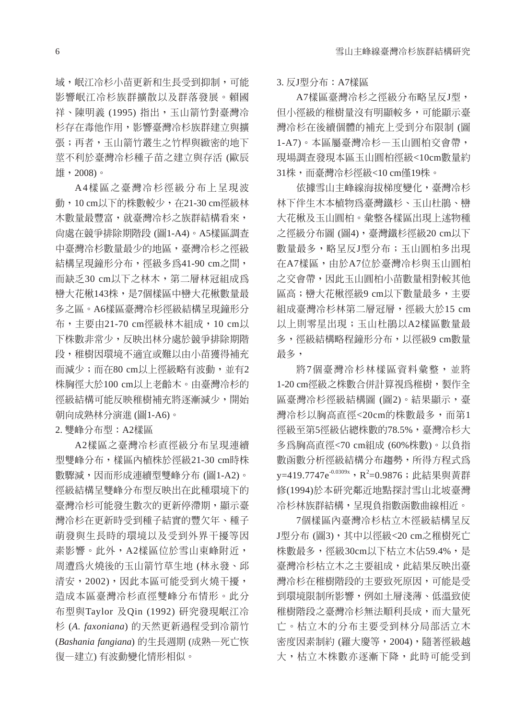域,岷江冷杉小苗更新和生長受到抑制,可能 影響岷江冷杉族群擴散以及群落發展。賴國 祥、陳明義 (1995) 指出,玉山箭竹對臺灣冷 杉存在毒他作用,影響臺灣冷杉族群建立與擴 張;再者,玉山箭竹叢生之竹桿與緻密的地下 莖不利於臺灣冷杉種子苗之建立與存活 (歐辰 雄,2008)。

A4樣區之臺灣冷杉徑級分布上呈現波 動,10 cm以下的株數較少,在21-30 cm徑級林 木數量最豐富,就臺灣冷杉之族群結構看來, 尚處在競爭排除期階段 (圖1-A4)。A5樣區調查 中臺灣冷杉數量最少的地區,臺灣冷杉之徑級 結構呈現鐘形分布,徑級多為41-90 cm之間, 而缺乏30 cm以下之林木,第二層林冠組成為 巒大花楸143株,是7個樣區中巒大花楸數量最 多之區。A6樣區臺灣冷杉徑級結構呈現鐘形分 布, 主要中21-70 cm徑級林木組成, 10 cm以 下株數非常少,反映出林分處於競爭排除期階 段,稚樹因環境不適宜或難以由小苗獲得補充 而減少;而在80 cm以上徑級略有波動,並有2 株胸徑大於100 cm以上老齡木。由臺灣冷杉的 徑級結構可能反映稚樹補充將逐漸減少,開始 朝向成熟林分演進 (圖1-A6)。

2. 雙峰分布型:A2樣區

A2樣區之臺灣冷杉直徑級分布呈現連續 型雙峰分布,樣區內植株於徑級21-30 cm時株 數驟減,因而形成連續型雙峰分布 (圖1-A2)。 徑級結構呈雙峰分布型反映出在此種環境下的 臺灣冷杉可能發生數次的更新停滯期,顯示臺 灣冷杉在更新時受到種子結實的豐欠年、種子 萌發與生長時的環境以及受到外界干擾等因 素影響。此外,A2樣區位於雪山東峰附近, 周遭為火燒後的玉山箭竹草生地 (林永發、邱 清安,2002),因此本區可能受到火燒干擾, 造成本區臺灣冷杉直徑雙峰分布情形。此分 布型與Taylor 及Qin (1992) 研究發現岷江冷 杉 (*A. faxoniana*) 的天然更新過程受到冷箭竹 (*Bashania fangiana*) 的生長週期 (成熟—死亡恢 復—建立) 有波動變化情形相似。

#### 3. 反J型分布:A7樣區

A7樣區臺灣冷杉之徑級分布略呈反J型, 但小徑級的稚樹量沒有明顯較多,可能顯示臺 灣冷杉在後續個體的補充上受到分布限制 (圖 1-A7)。本區屬臺灣冷杉—玉山圓柏交會帶, 現場調查發現本區玉山圓柏徑級<10cm數量約 31株,而臺灣冷杉徑級<10 cm僅19株。

依據雪山主峰線海拔梯度變化,臺灣冷杉 林下伴生木本植物為臺灣鐵杉、玉山杜鵑、巒 大花楸及玉山圓柏。彙整各樣區出現上述物種 之徑級分布圖 (圖4),臺灣鐵杉徑級20 cm以下 數量最多,略呈反J型分布;玉山圓柏多出現 在A7樣區,由於A7位於臺灣冷杉與玉山圓柏 之交會帶,因此玉山圓柏小苗數量相對較其他 區高;巒大花楸徑級9 cm以下數量最多,主要 組成臺灣冷杉林第二層冠層,徑級大於15 cm 以上則零星出現;玉山杜鵑以A2樣區數量最 多,徑級結構略程鐘形分布,以徑級9 cm數量 最多,

將7個臺灣冷杉林樣區資料彙整,並將 1-20 cm徑級之株數合併計算視為稚樹,製作全 區臺灣冷杉徑級結構圖 (圖2)。結果顯示,臺 灣冷杉以胸高直徑<20cm的株數最多,而第1 徑級至第5徑級佔總株數的78.5%,臺灣冷杉大 多為胸高直徑<70 cm組成 (60%株數)。以負指 數函數分析徑級結構分布趨勢,所得方程式為 y=419.7747e<sup>-0.0309x</sup>,R<sup>2</sup>=0.9876;此結果與黃群 修(1994)於本研究鄰近地點探討雪山北坡臺灣 冷杉林族群結構,呈現負指數函數曲線相近。

7個樣區內臺灣冷杉枯立木徑級結構呈反 J型分布 (圖3), 其中以徑級<20 cm之稚樹死亡 株數最多,徑級30cm以下枯立木佔59.4%,是 **臺灣冷杉枯立木之主要組成,此結果反映出臺** 灣冷杉在稚樹階段的主要致死原因,可能是受 到環境限制所影響,例如土層淺薄、低溫致使 稚樹階段之臺灣冷杉無法順利長成,而大量死 亡。枯立木的分布主要受到林分局部活立木 密度因素制約 (羅大慶等,2004),隨著徑級越 大,枯立木株數亦逐漸下降,此時可能受到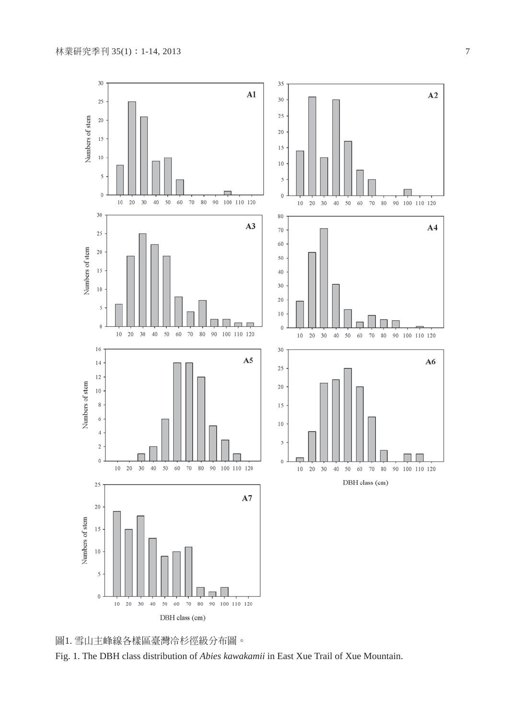



Fig. 1. The DBH class distribution of *Abies kawakamii* in East Xue Trail of Xue Mountain.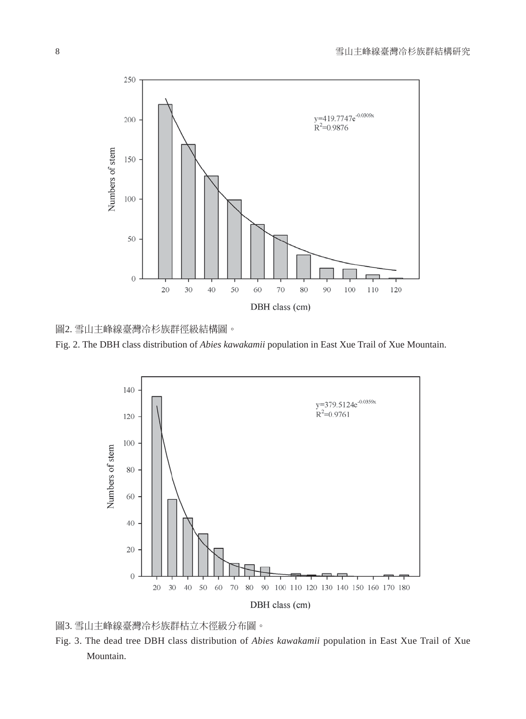

圖2. 雪山主峰線臺灣冷杉族群徑級結構圖。





圖3. 雪山主峰線臺灣冷杉族群枯立木徑級分布圖。

Fig. 3. The dead tree DBH class distribution of *Abies kawakamii* population in East Xue Trail of Xue Mountain.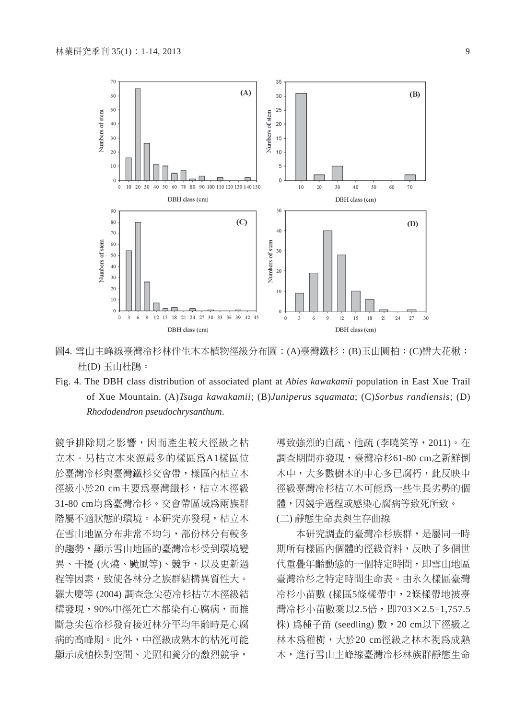

圖4. 雪山主峰線臺灣冷杉林伴生木本植物徑級分布圖:(A)臺灣鐵杉;(B)玉山圓柏;(C)巒大花楸; 杜(D) 玉山杜鵑。

Fig. 4. The DBH class distribution of associated plant at *Abies kawakamii* population in East Xue Trail of Xue Mountain. (A)*Tsuga kawakamii*; (B)*Juniperus squamata*; (C)*Sorbus randiensis*; (D) *Rhododendron pseudochrysanthum*.

競爭排除期之影響,因而產生較大徑級之枯 立木。另枯立木來源最多的樣區為A1樣區位 於臺灣冷杉與臺灣鐵杉交會帶,樣區內枯立木 徑級小於20 cm主要為臺灣鐵杉,枯立木徑級 31-80 cm均為臺灣冷杉。交會帶區域為兩族群 階屬不適狀態的環境。本研究亦發現,枯立木 在雪山地區分布非常不均勻,部份林分有較多 的趨勢,顯示雪山地區的臺灣冷杉受到環境變 異、干擾 (火燒、颱風等)、競爭,以及更新過 程等因素,致使各林分之族群結構異質性大。 羅大慶等 (2004) 調查急尖苞冷杉枯立木徑級結 構發現,90%中徑死亡木都染有心腐病,而推 斷急尖苞冷杉發育接近林分平均年齡時是心腐 病的高峰期。此外,中徑級成熟木的枯死可能 顯示成植株對空間、光照和養分的激烈競爭,

導致強烈的自疏、他疏 (李曉笑等,2011)。在 調查期間亦發現,臺灣冷杉61-80 cm之新鮮倒 木中,大多數樹木的中心多已腐朽,此反映中 徑級臺灣冷杉枯立木可能為一些生長劣勢的個 體,因競爭過程或感染心腐病等致死所致。 (二) 靜態生命表與生存曲線

本研究調查的臺灣冷杉族群,是屬同一時 期所有樣區內個體的徑級資料,反映了多個世 代重疊年齡動態的一個特定時間,即雪山地區 臺灣冷杉之特定時間生命表。由永久樣區臺灣 冷杉小苗數 (樣區5條樣帶中,2條樣帶地被臺 灣冷杉小苗數乘以2.5倍, 即703×2.5=1,757.5 株) 為種子苗 (seedling) 數,20 cm以下徑級之 林木為稚樹,大於20 cm徑級之林木視為成熟 木,進行雪山主峰線臺灣冷杉林族群靜態生命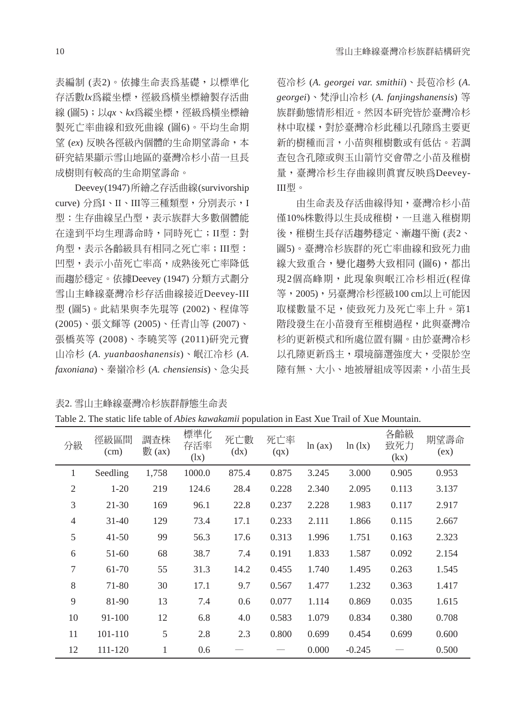表編制 (表2)。依據生命表為基礎,以標準化 存活數*lx*為縱坐標,徑級為橫坐標繪製存活曲 線 (圖5);以*qx、kx*為縱坐標,徑級為橫坐標繪 製死亡率曲線和致死曲線 (圖6)。平均生命期 望 (*ex*) 反映各徑級內個體的生命期望壽命,本 研究結果顯示雪山地區的臺灣冷杉小苗一旦長 成樹則有較高的生命期望壽命。

Deevey (1947) 所繪之存活曲線 (survivorship curve) 分為I、II、III等三種類型,分別表示,I 型:生存曲線呈凸型,表示族群大多數個體能 在達到平均生理壽命時,同時死亡;II型:對 角型,表示各齡級具有相同之死亡率;III型: 凹型,表示小苗死亡率高,成熟後死亡率降低 而趨於穩定。依據Deevey (1947) 分類方式劃分 雪山主峰線臺灣冷杉存活曲線接近Deevey-III 型 (圖5)。此結果與李先琨等 (2002)、程偉等 (2005)、張文輝等 (2005)、任青山等 (2007)、 張橋英等 (2008)、李曉笑等 (2011)研究元寶 山冷杉 (*A. yuanbaoshanensis*)、岷江冷杉 (*A. faxoniana*)、秦嶺冷杉 (*A. chensiensis*)、急尖長

表2. 雪山主峰線臺灣冷杉族群靜態生命表

苞冷杉 (*A. georgei var. smithii*)、長苞冷杉 (*A. georgei*)、梵淨山冷杉 (*A. fanjingshanensis*) 等 族群動態情形相近。然因本研究皆於臺灣冷杉 林中取樣,對於臺灣冷杉此種以孔隙為主要更 新的樹種而言,小苗與稚樹數或有低估。若調 查包含孔隙或與玉山箭竹交會帶之小苗及稚樹 量,臺灣冷杉生存曲線則真實反映為Deevey-III型。

由生命表及存活曲線得知,臺灣冷杉小苗 僅10%株數得以生長成稚樹,一旦進入稚樹期 後,稚樹生長存活趨勢穩定、漸趨平衡 (表2、 圖5)。臺灣冷杉族群的死亡率曲線和致死力曲 線大致重合,變化趨勢大致相同(圖6),都出 現2個高峰期,此現象與岷江冷杉相近(程偉 等,2005),另臺灣冷杉徑級100 cm以上可能因 取樣數量不足,使致死力及死亡率上升。第1 階段發生在小苗發育至稚樹過程,此與臺灣冷 杉的更新模式和所處位置有關。由於臺灣冷杉 以孔隙更新為主,環境篩選強度大,受限於空 隙有無、大小、地被層組成等因素,小苗生長

| Table 2. The static life table of Abies kawakamii population in East Xue Trail of Xue Mountain. |
|-------------------------------------------------------------------------------------------------|
|-------------------------------------------------------------------------------------------------|

| 分級             | 徑級區間<br>(cm) | 調査株<br>數 $(x)$ | 標準化<br>存活率<br>(lx) | 死亡數<br>(dx) | 死亡率<br>(qx) | ln (ax) | ln(1x)   | 各齡級<br>致死力<br>(kx) | 期望壽命<br>(ex) |
|----------------|--------------|----------------|--------------------|-------------|-------------|---------|----------|--------------------|--------------|
| 1              | Seedling     | 1,758          | 1000.0             | 875.4       | 0.875       | 3.245   | 3.000    | 0.905              | 0.953        |
| $\overline{2}$ | $1-20$       | 219            | 124.6              | 28.4        | 0.228       | 2.340   | 2.095    | 0.113              | 3.137        |
| 3              | 21-30        | 169            | 96.1               | 22.8        | 0.237       | 2.228   | 1.983    | 0.117              | 2.917        |
| $\overline{4}$ | $31 - 40$    | 129            | 73.4               | 17.1        | 0.233       | 2.111   | 1.866    | 0.115              | 2.667        |
| 5              | $41 - 50$    | 99             | 56.3               | 17.6        | 0.313       | 1.996   | 1.751    | 0.163              | 2.323        |
| 6              | $51-60$      | 68             | 38.7               | 7.4         | 0.191       | 1.833   | 1.587    | 0.092              | 2.154        |
| 7              | 61-70        | 55             | 31.3               | 14.2        | 0.455       | 1.740   | 1.495    | 0.263              | 1.545        |
| 8              | 71-80        | 30             | 17.1               | 9.7         | 0.567       | 1.477   | 1.232    | 0.363              | 1.417        |
| 9              | 81-90        | 13             | 7.4                | 0.6         | 0.077       | 1.114   | 0.869    | 0.035              | 1.615        |
| 10             | 91-100       | 12             | 6.8                | 4.0         | 0.583       | 1.079   | 0.834    | 0.380              | 0.708        |
| 11             | 101-110      | 5              | 2.8                | 2.3         | 0.800       | 0.699   | 0.454    | 0.699              | 0.600        |
| 12             | 111-120      | 1              | 0.6                |             |             | 0.000   | $-0.245$ |                    | 0.500        |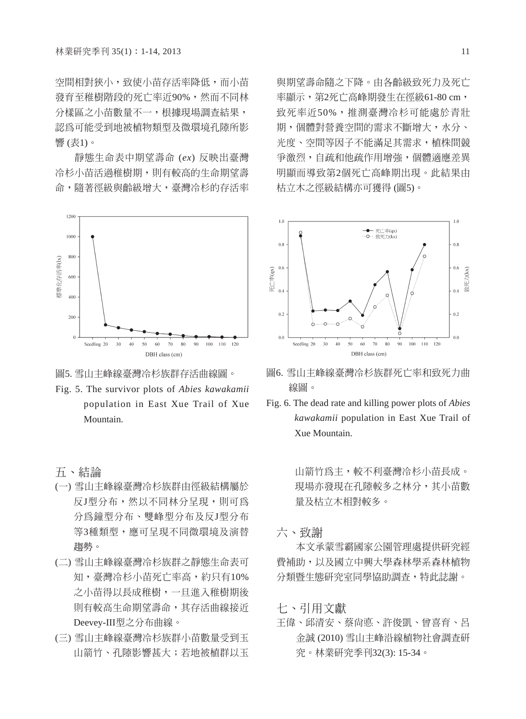空間相對狹小,致使小苗存活率降低,而小苗 發育至稚樹階段的死亡率近90%,然而不同林 分樣區之小苗數量不一,根據現場調査結果, 認為可能受到地被植物類型及微環境孔隙所影 響 (表1)。

靜態生命表中期望壽命 (*ex*) 反映出臺灣 冷杉小苗活過稚樹期,則有較高的生命期望壽 命,隨著徑級與齡級增大,臺灣冷杉的存活率





Fig. 5. The survivor plots of *Abies kawakamii* population in East Xue Trail of Xue Mountain.

## 五、結論

- (一) 雪山主峰線臺灣冷杉族群由徑級結構屬於 反J型分布,然以不同林分呈現,則可為 分為鐘型分布、雙峰型分布及反J型分布 等3種類型,應可呈現不同微環境及演替 趨勢。
- (二) 雪山主峰線臺灣冷杉族群之靜態生命表可 知,臺灣冷杉小苗死亡率高,約只有10% 之小苗得以長成稚樹,一旦進入稚樹期後 則有較高生命期望壽命,其存活曲線接近 Deevey-III型之分布曲線。
- (三) 雪山主峰線臺灣冷杉族群小苗數量受到玉 山箭竹、孔隙影響甚大;若地被植群以玉

與期望壽命隨之下降。由各齡級致死力及死亡 率顯示,第2死亡高峰期發生在徑級61-80 cm, 致死率近50%,推測臺灣冷杉可能處於青壯 期,個體對營養空間的需求不斷增大,水分、 光度、空間等因子不能滿足其需求,植株間競 爭激烈,自疏和他疏作用增強,個體適應差異 明顯而導致第2個死亡高峰期出現。此結果由 枯立木之徑級結構亦可獲得 (圖5)。



- 圖6. 雪山主峰線臺灣冷杉族群死亡率和致死力曲 線圖。
- Fig. 6. The dead rate and killing power plots of *Abies kawakamii* population in East Xue Trail of Xue Mountain.

山箭竹為主,較不利臺灣冷杉小苗長成。 現場亦發現在孔隙較多之林分,其小苗數 量及枯立木相對較多。

六、致謝

本文承蒙雪霸國家公園管理處提供研究經 費補助,以及國立中興大學森林學系森林植物 分類暨生態研究室同學協助調查,特此誌謝。

七、引用文獻

王偉、邱清安、蔡尚悳、許俊凱、曾喜育、呂 金誠 (2010) 雪山主峰沿線植物社會調查研 究。林業研究季刊32(3): 15-34。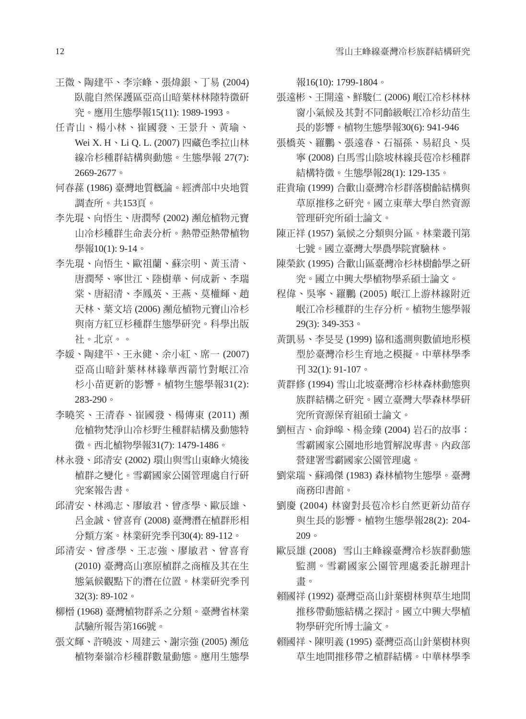- 王微、陶建平、李宗峰、張煒銀、丁易 (2004) 臥龍自然保護區亞高山暗葉林林隙特徵研 究。應用生態學報15(11): 1989-1993。
- 任青山、楊小林、崔國發、王景升、黃瑜、 Wei X. H、Li Q. L. (2007) 四藏色季拉山林 線冷杉種群結構與動態。生態學報 27(7): 2669-2677。
- 何春蓀 (1986) 臺灣地質概論。經濟部中央地質 調查所。共153頁。
- 李先琨、向悟生、唐潤琴 (2002) 瀕危植物元寶 山冷杉種群生命表分析。熱帶亞熱帶植物 學報10(1): 9-14。
- 李先琨、向悟生、歐祖蘭、蘇宗明、黃玉清、 唐潤琴、寧世江、陸樹華、何成新、李瑞 棠、唐紹清、李鳳英、王燕、莫權輝、趙 天林、葉文培 (2006) 瀕危植物元寶山冷杉 與南方紅豆杉種群生態學研究。科學出版 社。北京。。
- 李媛、陶建平、王永健、余小紅、席一 (2007) 亞高山暗針葉林林緣華西箭竹對岷江冷 杉小苗更新的影響。植物生態學報31(2): 283-290。
- 李曉笑、王清春、崔國發、楊傳東 (2011) 瀕 危植物梵淨山冷杉野生種群結構及動態特 徵。西北植物學報31(7): 1479-1486。
- 林永發、邱清安 (2002) 環山與雪山東峰火燒後 植群之變化。雪霸國家公園管理處自行研 究案報告書。
- 邱清安、林鴻志、廖敏君、曾彥學、歐辰雄、 呂金誠、曾喜育 (2008) 臺灣潛在植群形相 分類方案。林業研究季刊30(4): 89-112。
- 邱清安、曾彥學、王志強、廖敏君、曾喜育 (2010) 臺灣高山寒原植群之商榷及其在生 態氣候觀點下的潛在位置。林業研究季刊 32(3): 89-102。
- 柳榗 (1968) 臺灣植物群系之分類。臺灣省林業 試驗所報告第166號。
- 張文輝、許曉波、周建云、謝宗強 (2005) 瀕危 植物秦嶺冷杉種群數量動態。應用生態學

報16(10): 1799-1804。

- 張遠彬、王開遠、鮮駿仁 (2006) 岷江冷杉林林 窗小氣候及其對不同齡級岷江冷杉幼苗生 長的影響。植物生態學報30(6): 941-946
- 張橋英、羅鵬、張遠春、石福孫、易紹良、吳 寧 (2008) 白馬雪山陰坡林線長苞冷杉種群 結構特徵。生態學報28(1): 129-135。
- 莊貴瑜 (1999) 合歡山臺灣冷杉群落樹齡結構與 草原推移之研究。國立東華大學自然資源 管理研究所碩士論文。
- 陳正祥 (1957) 氣候之分類與分區。林業叢刊第 七號。國立臺灣大學農學院實驗林。
- 陳榮欽 (1995) 合歡山區臺灣冷杉林樹齡學之研 究。國立中興大學植物學系碩士論文。
- 程偉、吳寧、羅鵬 (2005) 岷江上游林線附近 岷江冷杉種群的生存分析。植物生態學報 29(3): 349-353。
- 黃凱易、李旻旻 (1999) 協和遙測與數值地形模 型於臺灣冷杉生育地之模擬。中華林學季 刊 32(1): 91-107。
- 黃群修 (1994) 雪山北坡臺灣冷杉林森林動態與 族群結構之研究。國立臺灣大學森林學研 究所資源保育組碩士論文。
- 劉桓吉、俞錚皞、楊金臻 (2004) 岩石的故事: 雪霸國家公園地形地質解說專書。內政部 營建署雪霸國家公園管理處。
- 劉棠瑞、蘇鴻傑 (1983) 森林植物生態學。臺灣 商務印書館。
- 劉慶 (2004) 林窗對長苞冷杉自然更新幼苗存 與生長的影響。植物生態學報28(2): 204- 209。
- 歐辰雄 (2008) 雪山主峰線臺灣冷杉族群動態 監測。雪霸國家公園管理處委託辦理計 畫。
- 賴國祥 (1992) 臺灣亞高山針葉樹林與草生地間 推移帶動態結構之探討。國立中興大學植 物學研究所博士論文。
- 賴國祥、陳明義 (1995) 臺灣亞高山針葉樹林與 草生地間推移帶之植群結構。中華林學季